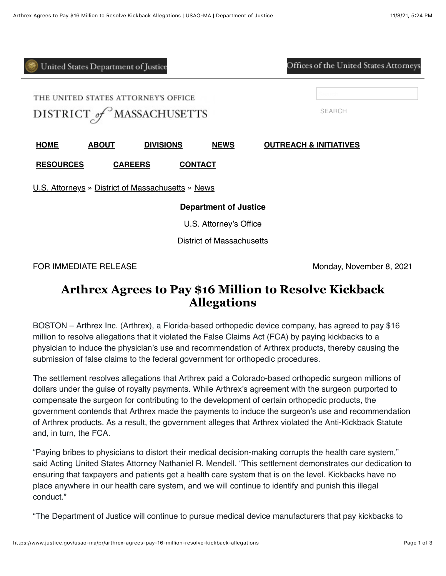| United States Department of Justice                              |              |                  |                | Offices of the United States Attorneys |
|------------------------------------------------------------------|--------------|------------------|----------------|----------------------------------------|
| THE UNITED STATES ATTORNEY'S OFFICE<br>DISTRICT of MASSACHUSETTS |              |                  |                | <b>SEARCH</b>                          |
| <b>HOME</b>                                                      | <b>ABOUT</b> | <b>DIVISIONS</b> | <b>NEWS</b>    | <b>OUTREACH &amp; INITIATIVES</b>      |
| <b>RESOURCES</b>                                                 |              | <b>CAREERS</b>   | <b>CONTACT</b> |                                        |
| U.S. Attorneys » District of Massachusetts » News                |              |                  |                |                                        |
| <b>Department of Justice</b>                                     |              |                  |                |                                        |
| U.S. Attorney's Office                                           |              |                  |                |                                        |
| <b>District of Massachusetts</b>                                 |              |                  |                |                                        |

FOR IMMEDIATE RELEASE **Monday, November 8, 2021** 

## **Arthrex Agrees to Pay \$16 Million to Resolve Kickback Allegations**

BOSTON – Arthrex Inc. (Arthrex), a Florida-based orthopedic device company, has agreed to pay \$16 million to resolve allegations that it violated the False Claims Act (FCA) by paying kickbacks to a physician to induce the physician's use and recommendation of Arthrex products, thereby causing the submission of false claims to the federal government for orthopedic procedures.

The settlement resolves allegations that Arthrex paid a Colorado-based orthopedic surgeon millions of dollars under the guise of royalty payments. While Arthrex's agreement with the surgeon purported to compensate the surgeon for contributing to the development of certain orthopedic products, the government contends that Arthrex made the payments to induce the surgeon's use and recommendation of Arthrex products. As a result, the government alleges that Arthrex violated the Anti-Kickback Statute and, in turn, the FCA.

"Paying bribes to physicians to distort their medical decision-making corrupts the health care system," said Acting United States Attorney Nathaniel R. Mendell. "This settlement demonstrates our dedication to ensuring that taxpayers and patients get a health care system that is on the level. Kickbacks have no place anywhere in our health care system, and we will continue to identify and punish this illegal conduct."

"The Department of Justice will continue to pursue medical device manufacturers that pay kickbacks to